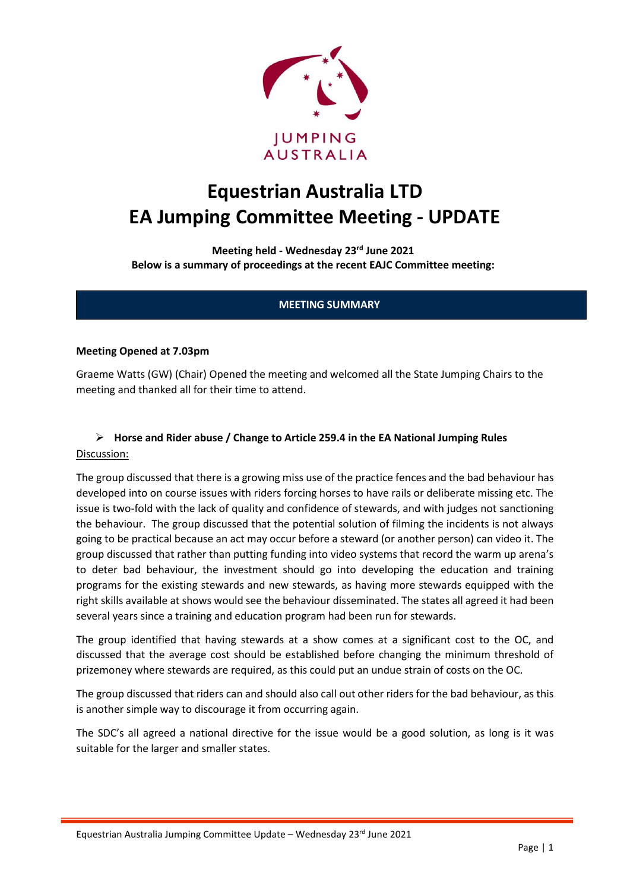

# **Equestrian Australia LTD EA Jumping Committee Meeting - UPDATE**

**Meeting held - Wednesday 23rd June 2021 Below is a summary of proceedings at the recent EAJC Committee meeting:**

### **MEETING SUMMARY**

#### **Meeting Opened at 7.03pm**

Graeme Watts (GW) (Chair) Opened the meeting and welcomed all the State Jumping Chairs to the meeting and thanked all for their time to attend.

## ➢ **Horse and Rider abuse / Change to Article 259.4 in the EA National Jumping Rules** Discussion:

The group discussed that there is a growing miss use of the practice fences and the bad behaviour has developed into on course issues with riders forcing horses to have rails or deliberate missing etc. The issue is two-fold with the lack of quality and confidence of stewards, and with judges not sanctioning the behaviour. The group discussed that the potential solution of filming the incidents is not always going to be practical because an act may occur before a steward (or another person) can video it. The group discussed that rather than putting funding into video systems that record the warm up arena's to deter bad behaviour, the investment should go into developing the education and training programs for the existing stewards and new stewards, as having more stewards equipped with the right skills available at shows would see the behaviour disseminated. The states all agreed it had been several years since a training and education program had been run for stewards.

The group identified that having stewards at a show comes at a significant cost to the OC, and discussed that the average cost should be established before changing the minimum threshold of prizemoney where stewards are required, as this could put an undue strain of costs on the OC.

The group discussed that riders can and should also call out other riders for the bad behaviour, as this is another simple way to discourage it from occurring again.

The SDC's all agreed a national directive for the issue would be a good solution, as long is it was suitable for the larger and smaller states.